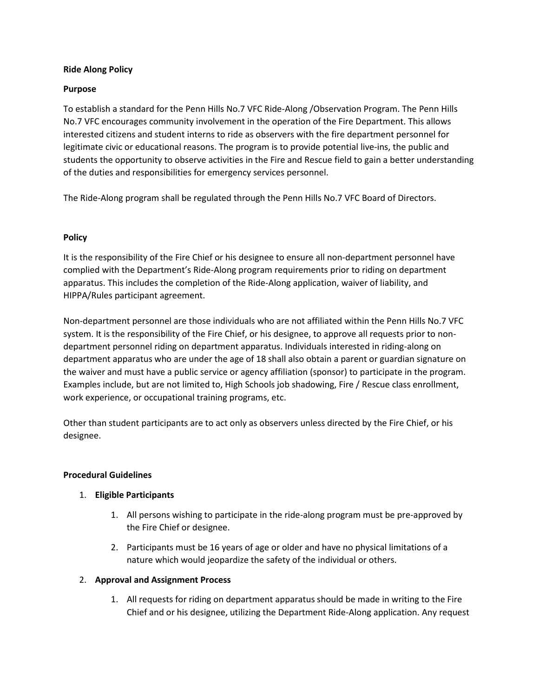### **Ride Along Policy**

#### **Purpose**

To establish a standard for the Penn Hills No.7 VFC Ride-Along /Observation Program. The Penn Hills No.7 VFC encourages community involvement in the operation of the Fire Department. This allows interested citizens and student interns to ride as observers with the fire department personnel for legitimate civic or educational reasons. The program is to provide potential live-ins, the public and students the opportunity to observe activities in the Fire and Rescue field to gain a better understanding of the duties and responsibilities for emergency services personnel.

The Ride-Along program shall be regulated through the Penn Hills No.7 VFC Board of Directors.

### **Policy**

It is the responsibility of the Fire Chief or his designee to ensure all non-department personnel have complied with the Department's Ride-Along program requirements prior to riding on department apparatus. This includes the completion of the Ride-Along application, waiver of liability, and HIPPA/Rules participant agreement.

Non-department personnel are those individuals who are not affiliated within the Penn Hills No.7 VFC system. It is the responsibility of the Fire Chief, or his designee, to approve all requests prior to nondepartment personnel riding on department apparatus. Individuals interested in riding-along on department apparatus who are under the age of 18 shall also obtain a parent or guardian signature on the waiver and must have a public service or agency affiliation (sponsor) to participate in the program. Examples include, but are not limited to, High Schools job shadowing, Fire / Rescue class enrollment, work experience, or occupational training programs, etc.

Other than student participants are to act only as observers unless directed by the Fire Chief, or his designee.

#### **Procedural Guidelines**

### 1. **Eligible Participants**

- 1. All persons wishing to participate in the ride-along program must be pre-approved by the Fire Chief or designee.
- 2. Participants must be 16 years of age or older and have no physical limitations of a nature which would jeopardize the safety of the individual or others.

### 2. **Approval and Assignment Process**

1. All requests for riding on department apparatus should be made in writing to the Fire Chief and or his designee, utilizing the Department Ride-Along application. Any request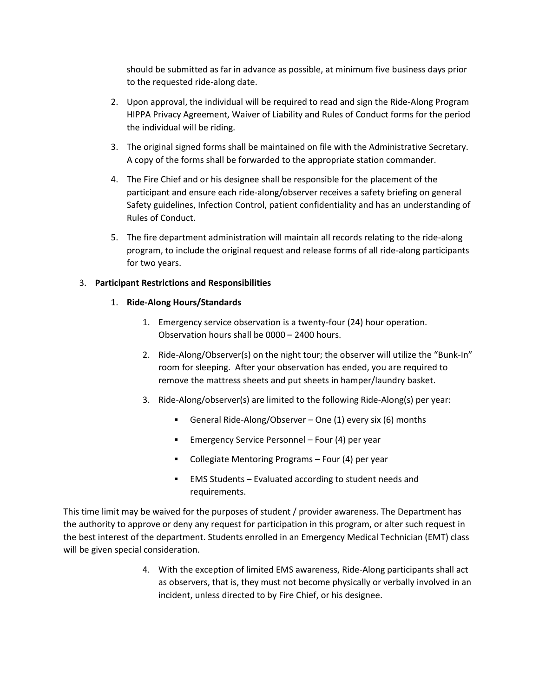should be submitted as far in advance as possible, at minimum five business days prior to the requested ride-along date.

- 2. Upon approval, the individual will be required to read and sign the Ride-Along Program HIPPA Privacy Agreement, Waiver of Liability and Rules of Conduct forms for the period the individual will be riding.
- 3. The original signed forms shall be maintained on file with the Administrative Secretary. A copy of the forms shall be forwarded to the appropriate station commander.
- 4. The Fire Chief and or his designee shall be responsible for the placement of the participant and ensure each ride-along/observer receives a safety briefing on general Safety guidelines, Infection Control, patient confidentiality and has an understanding of Rules of Conduct.
- 5. The fire department administration will maintain all records relating to the ride-along program, to include the original request and release forms of all ride-along participants for two years.

## 3. **Participant Restrictions and Responsibilities**

## 1. **Ride-Along Hours/Standards**

- 1. Emergency service observation is a twenty-four (24) hour operation. Observation hours shall be 0000 – 2400 hours.
- 2. Ride-Along/Observer(s) on the night tour; the observer will utilize the "Bunk-In" room for sleeping. After your observation has ended, you are required to remove the mattress sheets and put sheets in hamper/laundry basket.
- 3. Ride-Along/observer(s) are limited to the following Ride-Along(s) per year:
	- General Ride-Along/Observer One (1) every six (6) months
	- **Emergency Service Personnel Four (4) per year**
	- Collegiate Mentoring Programs Four (4) per year
	- EMS Students Evaluated according to student needs and requirements.

This time limit may be waived for the purposes of student / provider awareness. The Department has the authority to approve or deny any request for participation in this program, or alter such request in the best interest of the department. Students enrolled in an Emergency Medical Technician (EMT) class will be given special consideration.

> 4. With the exception of limited EMS awareness, Ride-Along participants shall act as observers, that is, they must not become physically or verbally involved in an incident, unless directed to by Fire Chief, or his designee.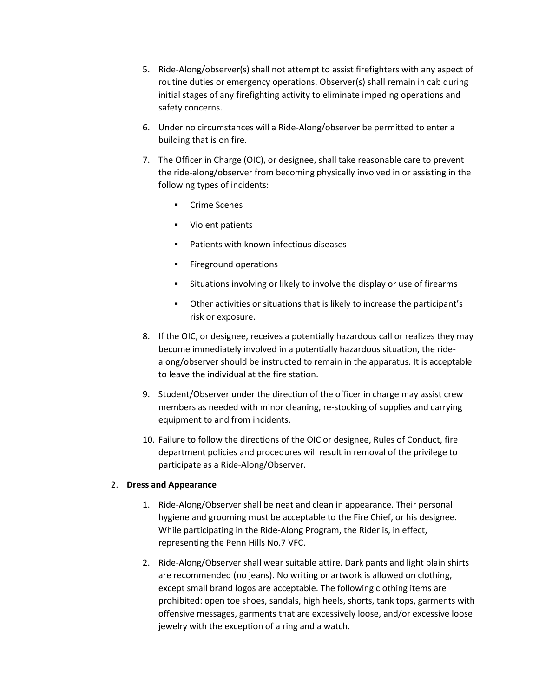- 5. Ride-Along/observer(s) shall not attempt to assist firefighters with any aspect of routine duties or emergency operations. Observer(s) shall remain in cab during initial stages of any firefighting activity to eliminate impeding operations and safety concerns.
- 6. Under no circumstances will a Ride-Along/observer be permitted to enter a building that is on fire.
- 7. The Officer in Charge (OIC), or designee, shall take reasonable care to prevent the ride-along/observer from becoming physically involved in or assisting in the following types of incidents:
	- Crime Scenes
	- Violent patients
	- Patients with known infectious diseases
	- Fireground operations
	- Situations involving or likely to involve the display or use of firearms
	- Other activities or situations that is likely to increase the participant's risk or exposure.
- 8. If the OIC, or designee, receives a potentially hazardous call or realizes they may become immediately involved in a potentially hazardous situation, the ridealong/observer should be instructed to remain in the apparatus. It is acceptable to leave the individual at the fire station.
- 9. Student/Observer under the direction of the officer in charge may assist crew members as needed with minor cleaning, re-stocking of supplies and carrying equipment to and from incidents.
- 10. Failure to follow the directions of the OIC or designee, Rules of Conduct, fire department policies and procedures will result in removal of the privilege to participate as a Ride-Along/Observer.

# 2. **Dress and Appearance**

- 1. Ride-Along/Observer shall be neat and clean in appearance. Their personal hygiene and grooming must be acceptable to the Fire Chief, or his designee. While participating in the Ride-Along Program, the Rider is, in effect, representing the Penn Hills No.7 VFC.
- 2. Ride-Along/Observer shall wear suitable attire. Dark pants and light plain shirts are recommended (no jeans). No writing or artwork is allowed on clothing, except small brand logos are acceptable. The following clothing items are prohibited: open toe shoes, sandals, high heels, shorts, tank tops, garments with offensive messages, garments that are excessively loose, and/or excessive loose jewelry with the exception of a ring and a watch.